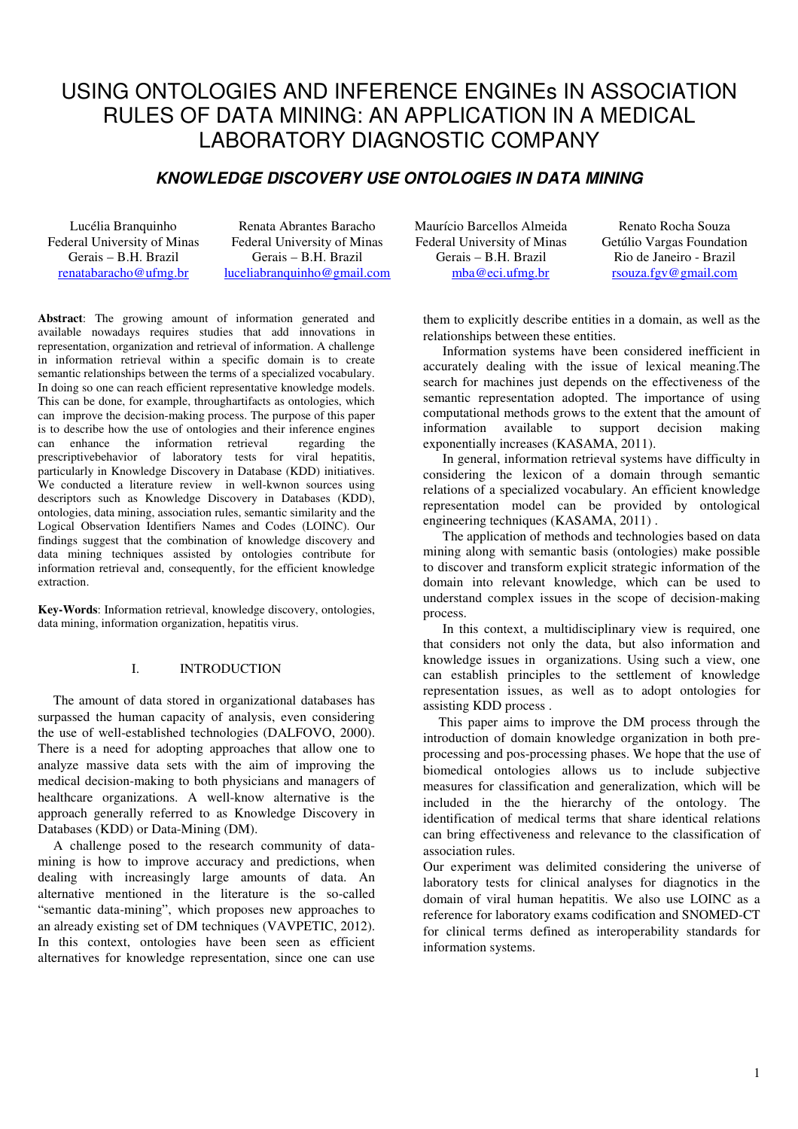# USING ONTOLOGIES AND INFERENCE ENGINEs IN ASSOCIATION RULES OF DATA MINING: AN APPLICATION IN A MEDICAL LABORATORY DIAGNOSTIC COMPANY

## **KNOWLEDGE DISCOVERY USE ONTOLOGIES IN DATA MINING**

Lucélia Branquinho Federal University of Minas Gerais – B.H. Brazil renatabaracho@ufmg.br

Renata Abrantes Baracho Federal University of Minas Gerais – B.H. Brazil luceliabranquinho@gmail.com

**Abstract**: The growing amount of information generated and available nowadays requires studies that add innovations in representation, organization and retrieval of information. A challenge in information retrieval within a specific domain is to create semantic relationships between the terms of a specialized vocabulary. In doing so one can reach efficient representative knowledge models. This can be done, for example, throughartifacts as ontologies, which can improve the decision-making process. The purpose of this paper is to describe how the use of ontologies and their inference engines can enhance the information retrieval regarding the prescriptivebehavior of laboratory tests for viral hepatitis, particularly in Knowledge Discovery in Database (KDD) initiatives. We conducted a literature review in well-kwnon sources using descriptors such as Knowledge Discovery in Databases (KDD), ontologies, data mining, association rules, semantic similarity and the Logical Observation Identifiers Names and Codes (LOINC). Our findings suggest that the combination of knowledge discovery and data mining techniques assisted by ontologies contribute for information retrieval and, consequently, for the efficient knowledge extraction.

**Key-Words**: Information retrieval, knowledge discovery, ontologies, data mining, information organization, hepatitis virus.

## I. INTRODUCTION

The amount of data stored in organizational databases has surpassed the human capacity of analysis, even considering the use of well-established technologies (DALFOVO, 2000). There is a need for adopting approaches that allow one to analyze massive data sets with the aim of improving the medical decision-making to both physicians and managers of healthcare organizations. A well-know alternative is the approach generally referred to as Knowledge Discovery in Databases (KDD) or Data-Mining (DM).

A challenge posed to the research community of datamining is how to improve accuracy and predictions, when dealing with increasingly large amounts of data. An alternative mentioned in the literature is the so-called "semantic data-mining", which proposes new approaches to an already existing set of DM techniques (VAVPETIC, 2012). In this context, ontologies have been seen as efficient alternatives for knowledge representation, since one can use

Maurício Barcellos Almeida Federal University of Minas Gerais – B.H. Brazil mba@eci.ufmg.br

Renato Rocha Souza Getúlio Vargas Foundation Rio de Janeiro - Brazil rsouza.fgv@gmail.com

them to explicitly describe entities in a domain, as well as the relationships between these entities.

Information systems have been considered inefficient in accurately dealing with the issue of lexical meaning.The search for machines just depends on the effectiveness of the semantic representation adopted. The importance of using computational methods grows to the extent that the amount of information available to support decision making exponentially increases (KASAMA, 2011).

In general, information retrieval systems have difficulty in considering the lexicon of a domain through semantic relations of a specialized vocabulary. An efficient knowledge representation model can be provided by ontological engineering techniques (KASAMA, 2011) .

The application of methods and technologies based on data mining along with semantic basis (ontologies) make possible to discover and transform explicit strategic information of the domain into relevant knowledge, which can be used to understand complex issues in the scope of decision-making process.

In this context, a multidisciplinary view is required, one that considers not only the data, but also information and knowledge issues in organizations. Using such a view, one can establish principles to the settlement of knowledge representation issues, as well as to adopt ontologies for assisting KDD process .

This paper aims to improve the DM process through the introduction of domain knowledge organization in both preprocessing and pos-processing phases. We hope that the use of biomedical ontologies allows us to include subjective measures for classification and generalization, which will be included in the the hierarchy of the ontology. The identification of medical terms that share identical relations can bring effectiveness and relevance to the classification of association rules.

Our experiment was delimited considering the universe of laboratory tests for clinical analyses for diagnotics in the domain of viral human hepatitis. We also use LOINC as a reference for laboratory exams codification and SNOMED-CT for clinical terms defined as interoperability standards for information systems.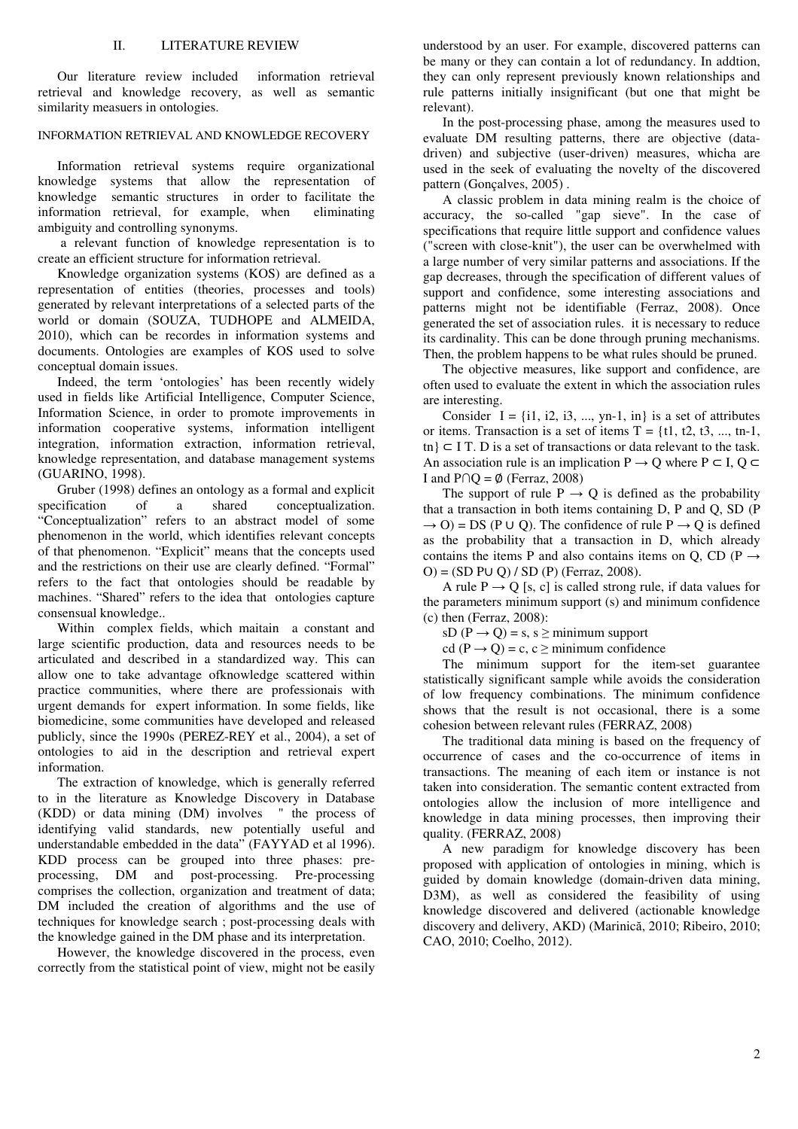Our literature review included information retrieval retrieval and knowledge recovery, as well as semantic similarity measuers in ontologies.

## INFORMATION RETRIEVAL AND KNOWLEDGE RECOVERY

Information retrieval systems require organizational knowledge systems that allow the representation of knowledge semantic structures in order to facilitate the information retrieval, for example, when eliminating ambiguity and controlling synonyms.

 a relevant function of knowledge representation is to create an efficient structure for information retrieval.

Knowledge organization systems (KOS) are defined as a representation of entities (theories, processes and tools) generated by relevant interpretations of a selected parts of the world or domain (SOUZA, TUDHOPE and ALMEIDA, 2010), which can be recordes in information systems and documents. Ontologies are examples of KOS used to solve conceptual domain issues.

Indeed, the term 'ontologies' has been recently widely used in fields like Artificial Intelligence, Computer Science, Information Science, in order to promote improvements in information cooperative systems, information intelligent integration, information extraction, information retrieval, knowledge representation, and database management systems (GUARINO, 1998).

Gruber (1998) defines an ontology as a formal and explicit specification of a shared conceptualization. of a shared conceptualization. "Conceptualization" refers to an abstract model of some phenomenon in the world, which identifies relevant concepts of that phenomenon. "Explicit" means that the concepts used and the restrictions on their use are clearly defined. "Formal" refers to the fact that ontologies should be readable by machines. "Shared" refers to the idea that ontologies capture consensual knowledge..

Within complex fields, which maitain a constant and large scientific production, data and resources needs to be articulated and described in a standardized way. This can allow one to take advantage ofknowledge scattered within practice communities, where there are professionais with urgent demands for expert information. In some fields, like biomedicine, some communities have developed and released publicly, since the 1990s (PEREZ-REY et al., 2004), a set of ontologies to aid in the description and retrieval expert information.

The extraction of knowledge, which is generally referred to in the literature as Knowledge Discovery in Database (KDD) or data mining (DM) involves " the process of identifying valid standards, new potentially useful and understandable embedded in the data" (FAYYAD et al 1996). KDD process can be grouped into three phases: preprocessing, DM and post-processing. Pre-processing comprises the collection, organization and treatment of data; DM included the creation of algorithms and the use of techniques for knowledge search ; post-processing deals with the knowledge gained in the DM phase and its interpretation.

However, the knowledge discovered in the process, even correctly from the statistical point of view, might not be easily understood by an user. For example, discovered patterns can be many or they can contain a lot of redundancy. In addtion, they can only represent previously known relationships and rule patterns initially insignificant (but one that might be relevant).

In the post-processing phase, among the measures used to evaluate DM resulting patterns, there are objective (datadriven) and subjective (user-driven) measures, whicha are used in the seek of evaluating the novelty of the discovered pattern (Gonçalves, 2005) .

A classic problem in data mining realm is the choice of accuracy, the so-called "gap sieve". In the case of specifications that require little support and confidence values ("screen with close-knit"), the user can be overwhelmed with a large number of very similar patterns and associations. If the gap decreases, through the specification of different values of support and confidence, some interesting associations and patterns might not be identifiable (Ferraz, 2008). Once generated the set of association rules. it is necessary to reduce its cardinality. This can be done through pruning mechanisms. Then, the problem happens to be what rules should be pruned.

The objective measures, like support and confidence, are often used to evaluate the extent in which the association rules are interesting.

Consider  $I = \{i1, i2, i3, ..., yn-1, in\}$  is a set of attributes or items. Transaction is a set of items  $T = \{t1, t2, t3, \dots, t1\}$ , tn}  $\subset$  I T. D is a set of transactions or data relevant to the task. An association rule is an implication  $P \rightarrow Q$  where  $P \subset I$ ,  $Q \subset I$ I and  $P \cap Q = \emptyset$  (Ferraz, 2008)

The support of rule  $P \rightarrow Q$  is defined as the probability that a transaction in both items containing D, P and Q, SD (P  $\rightarrow$  O) = DS (P ∪ Q). The confidence of rule P  $\rightarrow$  Q is defined as the probability that a transaction in D, which already contains the items P and also contains items on Q, CD (P  $\rightarrow$ O) = (SD P∪ Q) / SD (P) (Ferraz, 2008).

A rule  $P \rightarrow Q$  [s, c] is called strong rule, if data values for the parameters minimum support (s) and minimum confidence (c) then (Ferraz, 2008):

sD ( $P \rightarrow Q$ ) = s, s  $\ge$  minimum support

cd (P  $\rightarrow$  Q) = c, c  $\geq$  minimum confidence

The minimum support for the item-set guarantee statistically significant sample while avoids the consideration of low frequency combinations. The minimum confidence shows that the result is not occasional, there is a some cohesion between relevant rules (FERRAZ, 2008)

The traditional data mining is based on the frequency of occurrence of cases and the co-occurrence of items in transactions. The meaning of each item or instance is not taken into consideration. The semantic content extracted from ontologies allow the inclusion of more intelligence and knowledge in data mining processes, then improving their quality. (FERRAZ, 2008)

A new paradigm for knowledge discovery has been proposed with application of ontologies in mining, which is guided by domain knowledge (domain-driven data mining, D3M), as well as considered the feasibility of using knowledge discovered and delivered (actionable knowledge discovery and delivery, AKD) (Marinică, 2010; Ribeiro, 2010; CAO, 2010; Coelho, 2012).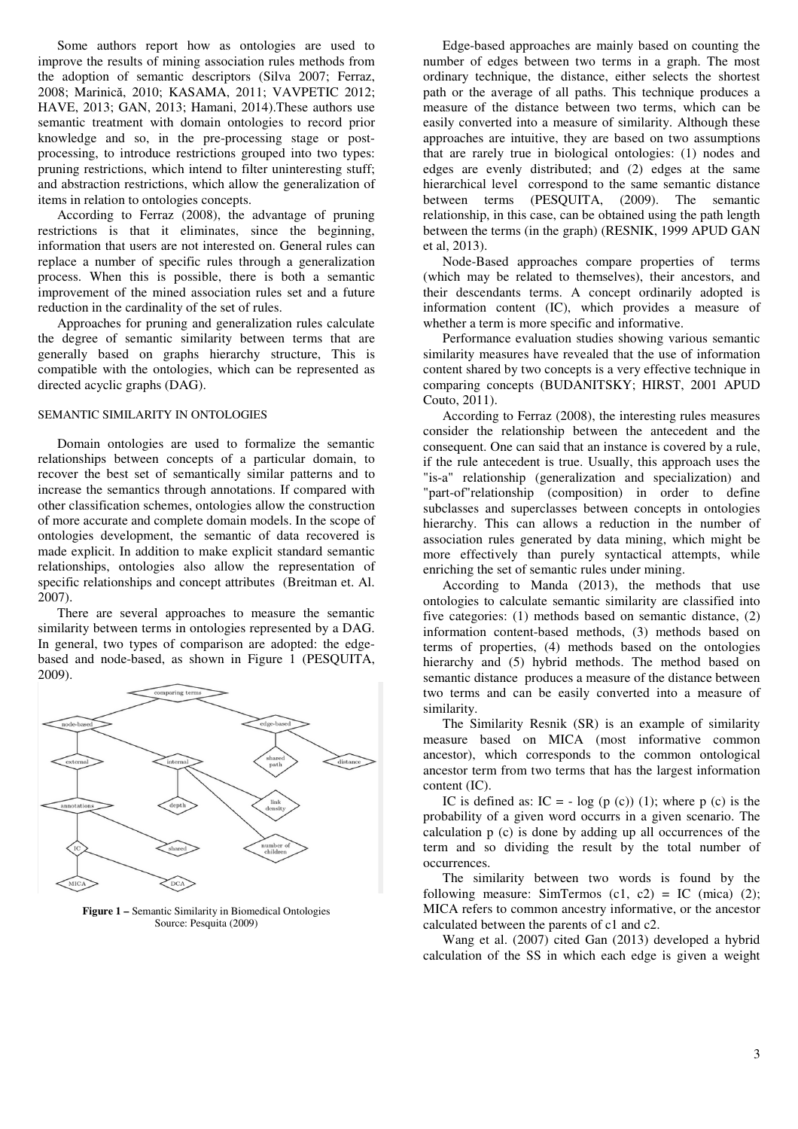Some authors report how as ontologies are used to improve the results of mining association rules methods from the adoption of semantic descriptors (Silva 2007; Ferraz, 2008; Marinică, 2010; KASAMA, 2011; VAVPETIC 2012; HAVE, 2013; GAN, 2013; Hamani, 2014).These authors use semantic treatment with domain ontologies to record prior knowledge and so, in the pre-processing stage or postprocessing, to introduce restrictions grouped into two types: pruning restrictions, which intend to filter uninteresting stuff; and abstraction restrictions, which allow the generalization of items in relation to ontologies concepts.

According to Ferraz (2008), the advantage of pruning restrictions is that it eliminates, since the beginning, information that users are not interested on. General rules can replace a number of specific rules through a generalization process. When this is possible, there is both a semantic improvement of the mined association rules set and a future reduction in the cardinality of the set of rules.

Approaches for pruning and generalization rules calculate the degree of semantic similarity between terms that are generally based on graphs hierarchy structure, This is compatible with the ontologies, which can be represented as directed acyclic graphs (DAG).

#### SEMANTIC SIMILARITY IN ONTOLOGIES

Domain ontologies are used to formalize the semantic relationships between concepts of a particular domain, to recover the best set of semantically similar patterns and to increase the semantics through annotations. If compared with other classification schemes, ontologies allow the construction of more accurate and complete domain models. In the scope of ontologies development, the semantic of data recovered is made explicit. In addition to make explicit standard semantic relationships, ontologies also allow the representation of specific relationships and concept attributes (Breitman et. Al. 2007).

There are several approaches to measure the semantic similarity between terms in ontologies represented by a DAG. In general, two types of comparison are adopted: the edgebased and node-based, as shown in Figure 1 (PESQUITA, 2009).



**Figure 1 –** Semantic Similarity in Biomedical Ontologies Source: Pesquita (2009)

Edge-based approaches are mainly based on counting the number of edges between two terms in a graph. The most ordinary technique, the distance, either selects the shortest path or the average of all paths. This technique produces a measure of the distance between two terms, which can be easily converted into a measure of similarity. Although these approaches are intuitive, they are based on two assumptions that are rarely true in biological ontologies: (1) nodes and edges are evenly distributed; and (2) edges at the same hierarchical level correspond to the same semantic distance between terms (PESQUITA, (2009). The semantic relationship, in this case, can be obtained using the path length between the terms (in the graph) (RESNIK, 1999 APUD GAN et al, 2013).

Node-Based approaches compare properties of terms (which may be related to themselves), their ancestors, and their descendants terms. A concept ordinarily adopted is information content (IC), which provides a measure of whether a term is more specific and informative.

Performance evaluation studies showing various semantic similarity measures have revealed that the use of information content shared by two concepts is a very effective technique in comparing concepts (BUDANITSKY; HIRST, 2001 APUD Couto, 2011).

According to Ferraz (2008), the interesting rules measures consider the relationship between the antecedent and the consequent. One can said that an instance is covered by a rule, if the rule antecedent is true. Usually, this approach uses the "is-a" relationship (generalization and specialization) and "part-of"relationship (composition) in order to define subclasses and superclasses between concepts in ontologies hierarchy. This can allows a reduction in the number of association rules generated by data mining, which might be more effectively than purely syntactical attempts, while enriching the set of semantic rules under mining.

According to Manda (2013), the methods that use ontologies to calculate semantic similarity are classified into five categories: (1) methods based on semantic distance, (2) information content-based methods, (3) methods based on terms of properties, (4) methods based on the ontologies hierarchy and (5) hybrid methods. The method based on semantic distance produces a measure of the distance between two terms and can be easily converted into a measure of similarity.

The Similarity Resnik (SR) is an example of similarity measure based on MICA (most informative common ancestor), which corresponds to the common ontological ancestor term from two terms that has the largest information content (IC).

IC is defined as:  $IC = -\log(p(c))$  (1); where p (c) is the probability of a given word occurrs in a given scenario. The calculation p (c) is done by adding up all occurrences of the term and so dividing the result by the total number of occurrences.

The similarity between two words is found by the following measure: SimTermos  $(c1, c2) = IC$  (mica) (2); MICA refers to common ancestry informative, or the ancestor calculated between the parents of c1 and c2.

Wang et al. (2007) cited Gan (2013) developed a hybrid calculation of the SS in which each edge is given a weight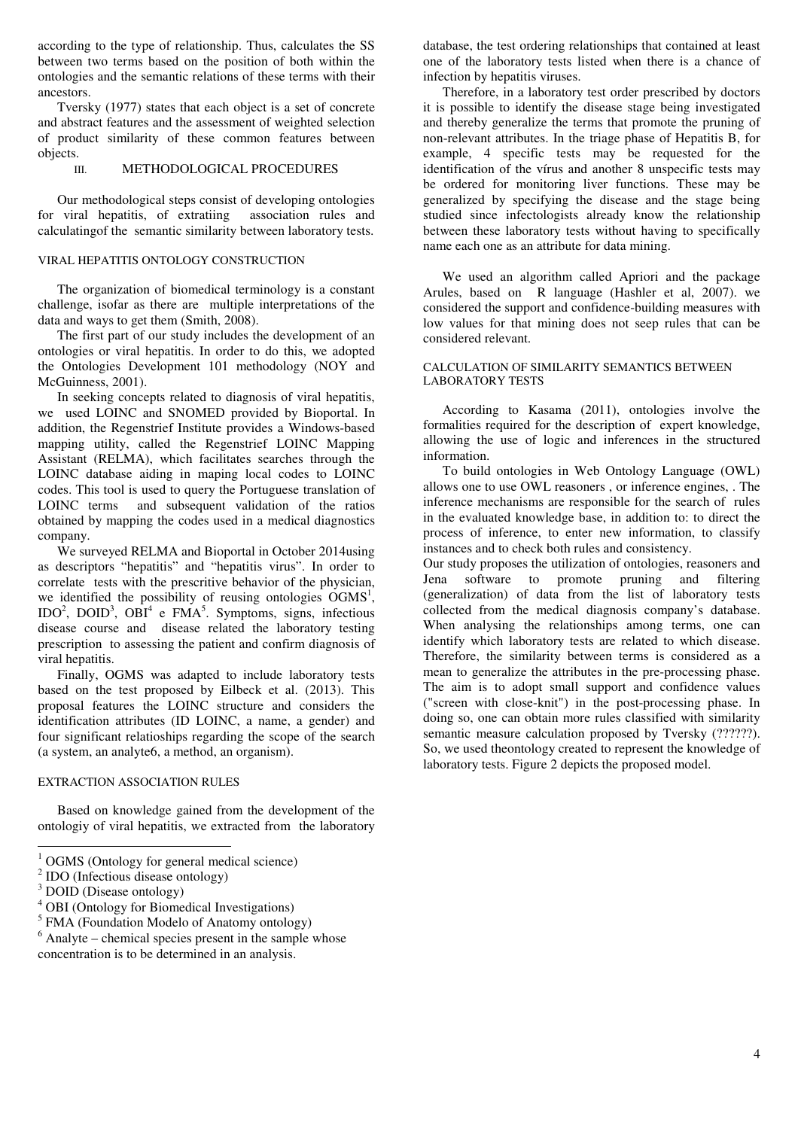according to the type of relationship. Thus, calculates the SS between two terms based on the position of both within the ontologies and the semantic relations of these terms with their ancestors.

Tversky (1977) states that each object is a set of concrete and abstract features and the assessment of weighted selection of product similarity of these common features between objects.

## III. METHODOLOGICAL PROCEDURES

Our methodological steps consist of developing ontologies for viral hepatitis, of extratiing association rules and calculatingof the semantic similarity between laboratory tests.

## VIRAL HEPATITIS ONTOLOGY CONSTRUCTION

The organization of biomedical terminology is a constant challenge, isofar as there are multiple interpretations of the data and ways to get them (Smith, 2008).

The first part of our study includes the development of an ontologies or viral hepatitis. In order to do this, we adopted the Ontologies Development 101 methodology (NOY and McGuinness, 2001).

In seeking concepts related to diagnosis of viral hepatitis, we used LOINC and SNOMED provided by Bioportal. In addition, the Regenstrief Institute provides a Windows-based mapping utility, called the Regenstrief LOINC Mapping Assistant (RELMA), which facilitates searches through the LOINC database aiding in maping local codes to LOINC codes. This tool is used to query the Portuguese translation of LOINC terms and subsequent validation of the ratios obtained by mapping the codes used in a medical diagnostics company.

We surveyed RELMA and Bioportal in October 2014using as descriptors "hepatitis" and "hepatitis virus". In order to correlate tests with the prescritive behavior of the physician, we identified the possibility of reusing ontologies  $\widetilde{OGMS}^1$ ,  $IDO<sup>2</sup>$ ,  $DOID<sup>3</sup>$ ,  $OBI<sup>4</sup>$  e  $FMA<sup>5</sup>$ . Symptoms, signs, infectious disease course and disease related the laboratory testing prescription to assessing the patient and confirm diagnosis of viral hepatitis.

Finally, OGMS was adapted to include laboratory tests based on the test proposed by Eilbeck et al. (2013). This proposal features the LOINC structure and considers the identification attributes (ID LOINC, a name, a gender) and four significant relatioships regarding the scope of the search (a system, an analyte6, a method, an organism).

## EXTRACTION ASSOCIATION RULES

Based on knowledge gained from the development of the ontologiy of viral hepatitis, we extracted from the laboratory

<sup>5</sup> FMA (Foundation Modelo of Anatomy ontology)

 $6$  Analyte – chemical species present in the sample whose concentration is to be determined in an analysis.

database, the test ordering relationships that contained at least one of the laboratory tests listed when there is a chance of infection by hepatitis viruses.

Therefore, in a laboratory test order prescribed by doctors it is possible to identify the disease stage being investigated and thereby generalize the terms that promote the pruning of non-relevant attributes. In the triage phase of Hepatitis B, for example, 4 specific tests may be requested for the identification of the vírus and another 8 unspecific tests may be ordered for monitoring liver functions. These may be generalized by specifying the disease and the stage being studied since infectologists already know the relationship between these laboratory tests without having to specifically name each one as an attribute for data mining.

We used an algorithm called Apriori and the package Arules, based on R language (Hashler et al, 2007). we considered the support and confidence-building measures with low values for that mining does not seep rules that can be considered relevant.

## CALCULATION OF SIMILARITY SEMANTICS BETWEEN LABORATORY TESTS

According to Kasama (2011), ontologies involve the formalities required for the description of expert knowledge, allowing the use of logic and inferences in the structured information.

To build ontologies in Web Ontology Language (OWL) allows one to use OWL reasoners , or inference engines, . The inference mechanisms are responsible for the search of rules in the evaluated knowledge base, in addition to: to direct the process of inference, to enter new information, to classify instances and to check both rules and consistency.

Our study proposes the utilization of ontologies, reasoners and Jena software to promote pruning and filtering (generalization) of data from the list of laboratory tests collected from the medical diagnosis company's database. When analysing the relationships among terms, one can identify which laboratory tests are related to which disease. Therefore, the similarity between terms is considered as a mean to generalize the attributes in the pre-processing phase. The aim is to adopt small support and confidence values ("screen with close-knit") in the post-processing phase. In doing so, one can obtain more rules classified with similarity semantic measure calculation proposed by Tversky (??????). So, we used theontology created to represent the knowledge of laboratory tests. Figure 2 depicts the proposed model.

<sup>&</sup>lt;sup>1</sup> OGMS (Ontology for general medical science)

<sup>2</sup> IDO (Infectious disease ontology)

<sup>&</sup>lt;sup>3</sup> DOID (Disease ontology)

<sup>4</sup> OBI (Ontology for Biomedical Investigations)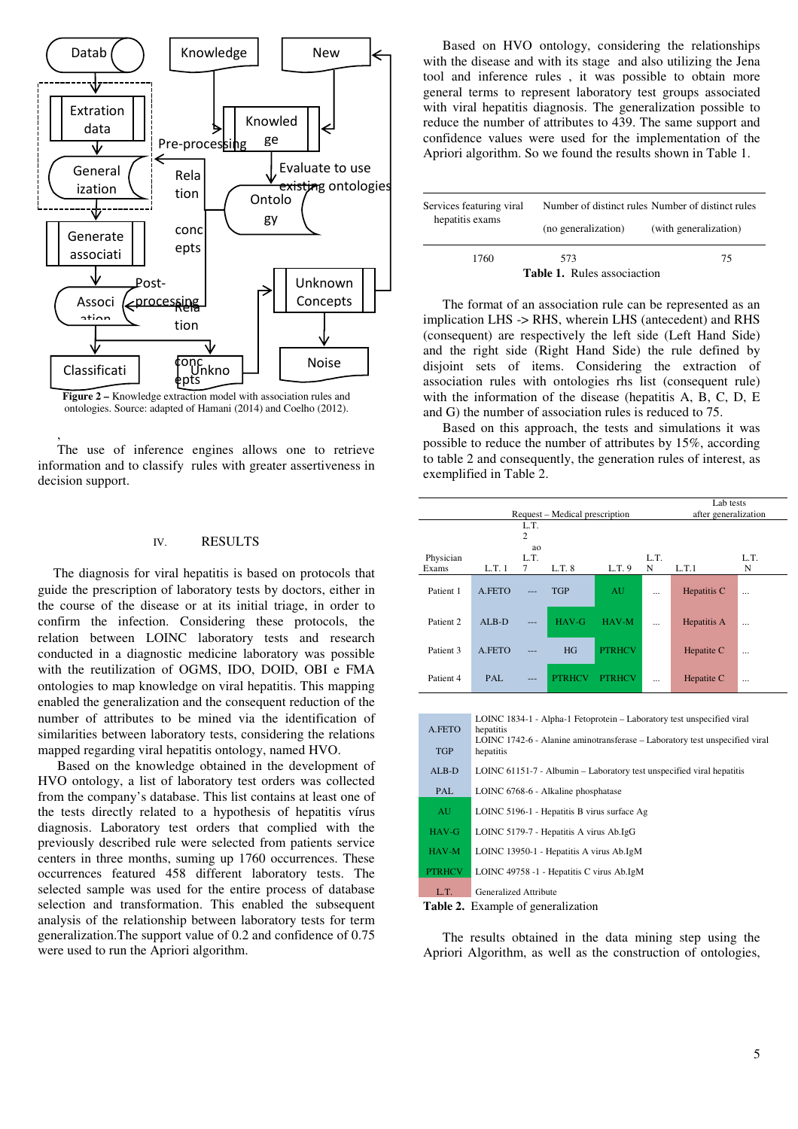

ontologies. Source: adapted of Hamani (2014) and Coelho (2012).

,

The use of inference engines allows one to retrieve information and to classify rules with greater assertiveness in decision support.

## IV. RESULTS

The diagnosis for viral hepatitis is based on protocols that guide the prescription of laboratory tests by doctors, either in the course of the disease or at its initial triage, in order to confirm the infection. Considering these protocols, the relation between LOINC laboratory tests and research conducted in a diagnostic medicine laboratory was possible with the reutilization of OGMS, IDO, DOID, OBI e FMA ontologies to map knowledge on viral hepatitis. This mapping enabled the generalization and the consequent reduction of the number of attributes to be mined via the identification of similarities between laboratory tests, considering the relations mapped regarding viral hepatitis ontology, named HVO.

Based on the knowledge obtained in the development of HVO ontology, a list of laboratory test orders was collected from the company's database. This list contains at least one of the tests directly related to a hypothesis of hepatitis vírus diagnosis. Laboratory test orders that complied with the previously described rule were selected from patients service centers in three months, suming up 1760 occurrences. These occurrences featured 458 different laboratory tests. The selected sample was used for the entire process of database selection and transformation. This enabled the subsequent analysis of the relationship between laboratory tests for term generalization.The support value of 0.2 and confidence of 0.75 were used to run the Apriori algorithm.

Based on HVO ontology, considering the relationships with the disease and with its stage and also utilizing the Jena tool and inference rules , it was possible to obtain more general terms to represent laboratory test groups associated with viral hepatitis diagnosis. The generalization possible to reduce the number of attributes to 439. The same support and confidence values were used for the implementation of the Apriori algorithm. So we found the results shown in Table 1.

| Services featuring viral<br>hepatitis exams | Number of distinct rules Number of distinct rules |                       |  |  |
|---------------------------------------------|---------------------------------------------------|-----------------------|--|--|
|                                             | (no generalization)                               | (with generalization) |  |  |
| 1760                                        | 573                                               | 75                    |  |  |
| <b>Table 1.</b> Rules associaction          |                                                   |                       |  |  |

The format of an association rule can be represented as an implication LHS -> RHS, wherein LHS (antecedent) and RHS (consequent) are respectively the left side (Left Hand Side) and the right side (Right Hand Side) the rule defined by disjoint sets of items. Considering the extraction of association rules with ontologies rhs list (consequent rule) with the information of the disease (hepatitis A, B, C, D, E and G) the number of association rules is reduced to 75.

Based on this approach, the tests and simulations it was possible to reduce the number of attributes by 15%, according to table 2 and consequently, the generation rules of interest, as exemplified in Table 2.

|                                                        | Lab tests                                                                                |                        |               |               |           |             |             |
|--------------------------------------------------------|------------------------------------------------------------------------------------------|------------------------|---------------|---------------|-----------|-------------|-------------|
| Request – Medical prescription<br>after generalization |                                                                                          |                        |               |               |           |             |             |
|                                                        |                                                                                          | L.T.<br>$\overline{c}$ |               |               |           |             |             |
|                                                        |                                                                                          | ao                     |               |               |           |             |             |
| Physician                                              |                                                                                          | L.T.                   |               |               | L.T.      |             | L.T.        |
| Exams                                                  | L.T. 1                                                                                   | 7                      | L.T. 8        | L.T. 9        | N         | L.T.1       | $\mathbf N$ |
| Patient 1                                              | A.FETO                                                                                   | ---                    | <b>TGP</b>    | AU.           |           | Hepatitis C |             |
| Patient <sub>2</sub>                                   | $ALB-D$                                                                                  |                        | HAV-G         | HAV-M         | $\ddotsc$ | Hepatitis A |             |
| Patient 3                                              | A.FETO                                                                                   | ---                    | HG            | <b>PTRHCV</b> |           | Hepatite C  |             |
| Patient 4                                              | PAL.                                                                                     |                        | <b>PTRHCV</b> | <b>PTRHCV</b> | $\ddotsc$ | Hepatite C  |             |
|                                                        |                                                                                          |                        |               |               |           |             |             |
|                                                        |                                                                                          |                        |               |               |           |             |             |
| A.FETO                                                 | LOINC 1834-1 - Alpha-1 Fetoprotein - Laboratory test unspecified viral<br>hepatitis      |                        |               |               |           |             |             |
| <b>TGP</b>                                             | LOINC 1742-6 - Alanine aminotransferase – Laboratory test unspecified viral<br>hepatitis |                        |               |               |           |             |             |
| $ALB-D$                                                | LOINC 61151-7 - Albumin - Laboratory test unspecified viral hepatitis                    |                        |               |               |           |             |             |
| PAL                                                    | LOINC 6768-6 - Alkaline phosphatase                                                      |                        |               |               |           |             |             |
| AU                                                     | LOINC 5196-1 - Hepatitis B virus surface Ag                                              |                        |               |               |           |             |             |
| HAV-G                                                  | LOINC 5179-7 - Hepatitis A virus Ab.IgG                                                  |                        |               |               |           |             |             |
| HAV-M                                                  | LOINC 13950-1 - Hepatitis A virus Ab.IgM                                                 |                        |               |               |           |             |             |
| <b>PTRHCV</b>                                          | LOINC 49758 -1 - Hepatitis C virus Ab.IgM                                                |                        |               |               |           |             |             |
| L.T.                                                   | Generalized Attribute                                                                    |                        |               |               |           |             |             |

**Table 2.** Example of generalization

The results obtained in the data mining step using the Apriori Algorithm, as well as the construction of ontologies,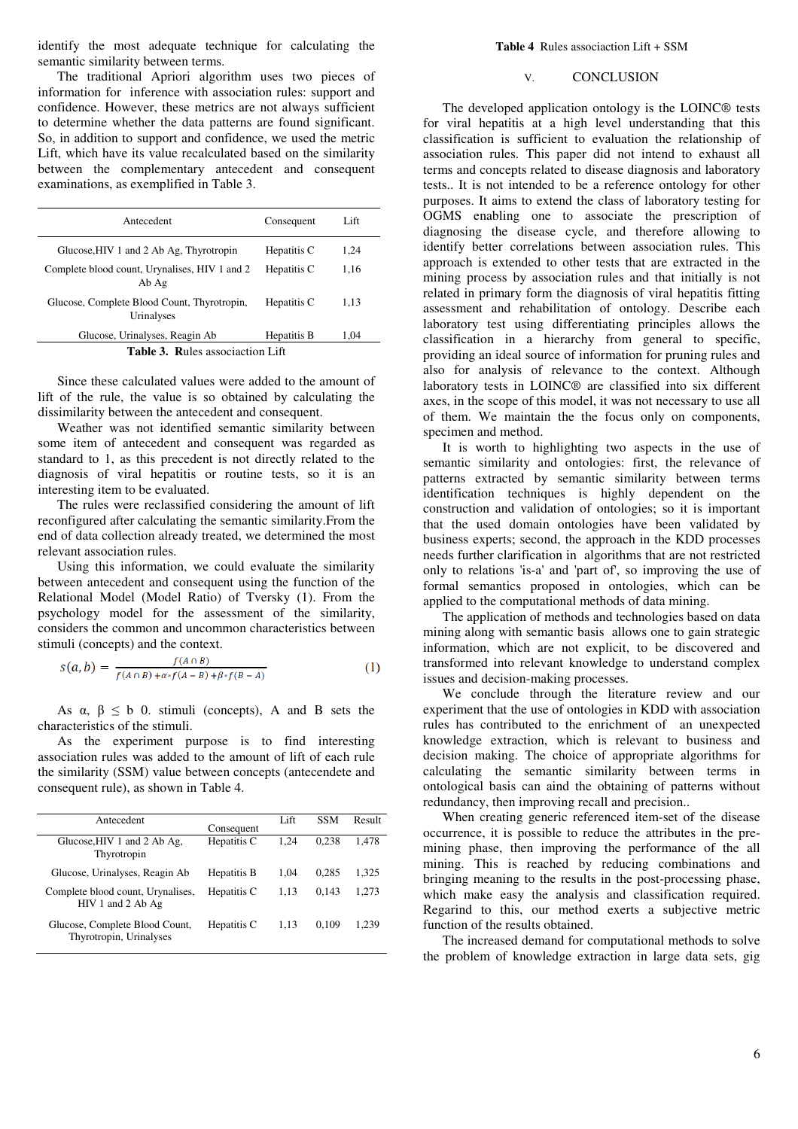identify the most adequate technique for calculating the semantic similarity between terms.

The traditional Apriori algorithm uses two pieces of information for inference with association rules: support and confidence. However, these metrics are not always sufficient to determine whether the data patterns are found significant. So, in addition to support and confidence, we used the metric Lift, which have its value recalculated based on the similarity between the complementary antecedent and consequent examinations, as exemplified in Table 3.

| Antecedent                                                | Consequent  | Lift |  |  |
|-----------------------------------------------------------|-------------|------|--|--|
| Glucose, HIV 1 and 2 Ab Ag, Thyrotropin                   | Hepatitis C | 1,24 |  |  |
| Complete blood count, Urynalises, HIV 1 and 2<br>Ab Ag    | Hepatitis C | 1.16 |  |  |
| Glucose, Complete Blood Count, Thyrotropin,<br>Urinalyses | Hepatitis C | 1.13 |  |  |
| Glucose, Urinalyses, Reagin Ab                            | Hepatitis B | 1,04 |  |  |
| Table 3. Rules associaction Lift                          |             |      |  |  |

Since these calculated values were added to the amount of lift of the rule, the value is so obtained by calculating the dissimilarity between the antecedent and consequent.

Weather was not identified semantic similarity between some item of antecedent and consequent was regarded as standard to 1, as this precedent is not directly related to the diagnosis of viral hepatitis or routine tests, so it is an interesting item to be evaluated.

The rules were reclassified considering the amount of lift reconfigured after calculating the semantic similarity.From the end of data collection already treated, we determined the most relevant association rules.

Using this information, we could evaluate the similarity between antecedent and consequent using the function of the Relational Model (Model Ratio) of Tversky (1). From the psychology model for the assessment of the similarity, considers the common and uncommon characteristics between stimuli (concepts) and the context.

$$
s(a,b) = \frac{f(A \cap B)}{f(A \cap B) + a * f(A - B) + \beta * f(B - A)}
$$
(1)

As  $\alpha$ ,  $\beta \leq b$  0. stimuli (concepts), A and B sets the characteristics of the stimuli.

As the experiment purpose is to find interesting association rules was added to the amount of lift of each rule the similarity (SSM) value between concepts (antecendete and consequent rule), as shown in Table 4.

| Antecedent                                                | Consequent  | Lift | <b>SSM</b> | Result |
|-----------------------------------------------------------|-------------|------|------------|--------|
| Glucose, HIV 1 and 2 Ab Ag,<br>Thyrotropin                | Hepatitis C | 1.24 | 0.238      | 1.478  |
| Glucose, Urinalyses, Reagin Ab                            | Hepatitis B | 1.04 | 0.285      | 1.325  |
| Complete blood count, Urynalises,<br>$HIV1$ and 2 Ab Ag   | Hepatitis C | 1.13 | 0.143      | 1.273  |
| Glucose, Complete Blood Count,<br>Thyrotropin, Urinalyses | Hepatitis C | 1.13 | 0.109      | 1.239  |

#### V. CONCLUSION

The developed application ontology is the LOINC® tests for viral hepatitis at a high level understanding that this classification is sufficient to evaluation the relationship of association rules. This paper did not intend to exhaust all terms and concepts related to disease diagnosis and laboratory tests.. It is not intended to be a reference ontology for other purposes. It aims to extend the class of laboratory testing for OGMS enabling one to associate the prescription of diagnosing the disease cycle, and therefore allowing to identify better correlations between association rules. This approach is extended to other tests that are extracted in the mining process by association rules and that initially is not related in primary form the diagnosis of viral hepatitis fitting assessment and rehabilitation of ontology. Describe each laboratory test using differentiating principles allows the classification in a hierarchy from general to specific, providing an ideal source of information for pruning rules and also for analysis of relevance to the context. Although laboratory tests in LOINC® are classified into six different axes, in the scope of this model, it was not necessary to use all of them. We maintain the the focus only on components, specimen and method.

It is worth to highlighting two aspects in the use of semantic similarity and ontologies: first, the relevance of patterns extracted by semantic similarity between terms identification techniques is highly dependent on the construction and validation of ontologies; so it is important that the used domain ontologies have been validated by business experts; second, the approach in the KDD processes needs further clarification in algorithms that are not restricted only to relations 'is-a' and 'part of', so improving the use of formal semantics proposed in ontologies, which can be applied to the computational methods of data mining.

The application of methods and technologies based on data mining along with semantic basis allows one to gain strategic information, which are not explicit, to be discovered and transformed into relevant knowledge to understand complex issues and decision-making processes.

We conclude through the literature review and our experiment that the use of ontologies in KDD with association rules has contributed to the enrichment of an unexpected knowledge extraction, which is relevant to business and decision making. The choice of appropriate algorithms for calculating the semantic similarity between terms in ontological basis can aind the obtaining of patterns without redundancy, then improving recall and precision..

When creating generic referenced item-set of the disease occurrence, it is possible to reduce the attributes in the premining phase, then improving the performance of the all mining. This is reached by reducing combinations and bringing meaning to the results in the post-processing phase, which make easy the analysis and classification required. Regarind to this, our method exerts a subjective metric function of the results obtained.

The increased demand for computational methods to solve the problem of knowledge extraction in large data sets, gig